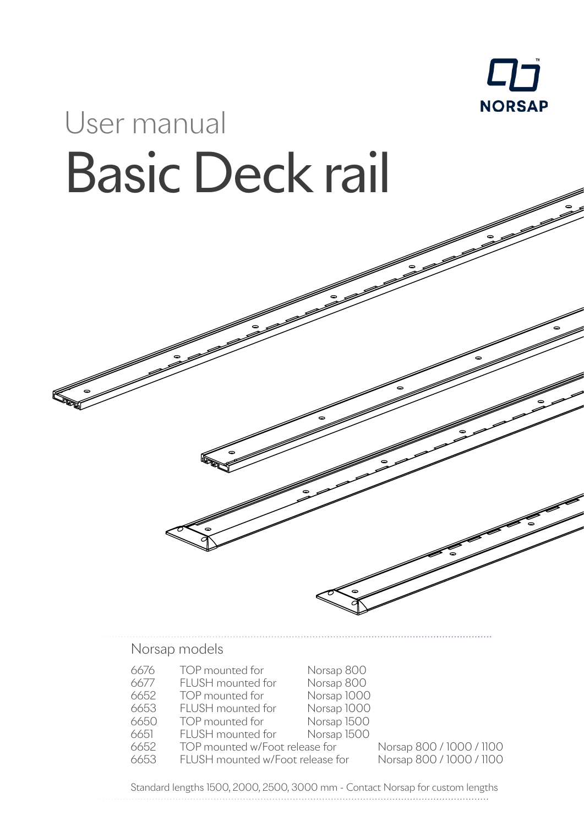

# User manual Basic Deck rail

Norsap models

| 6676 | TOP mounted for                  | Norsap 800  |
|------|----------------------------------|-------------|
| 6677 | FLUSH mounted for                | Norsap 800  |
| 6652 | TOP mounted for                  | Norsap 1000 |
| 6653 | FLUSH mounted for                | Norsap 1000 |
| 6650 | TOP mounted for                  | Norsap 1500 |
| 6651 | FLUSH mounted for                | Norsap 1500 |
| 6652 | TOP mounted w/Foot release for   |             |
| 6653 | FLUSH mounted w/Foot release for |             |

Norsap 800 / 1000 / 1100 or Norsap 800 / 1000 / 1100

Standard lengths 1500, 2000, 2500, 3000 mm - Contact Norsap for custom lengths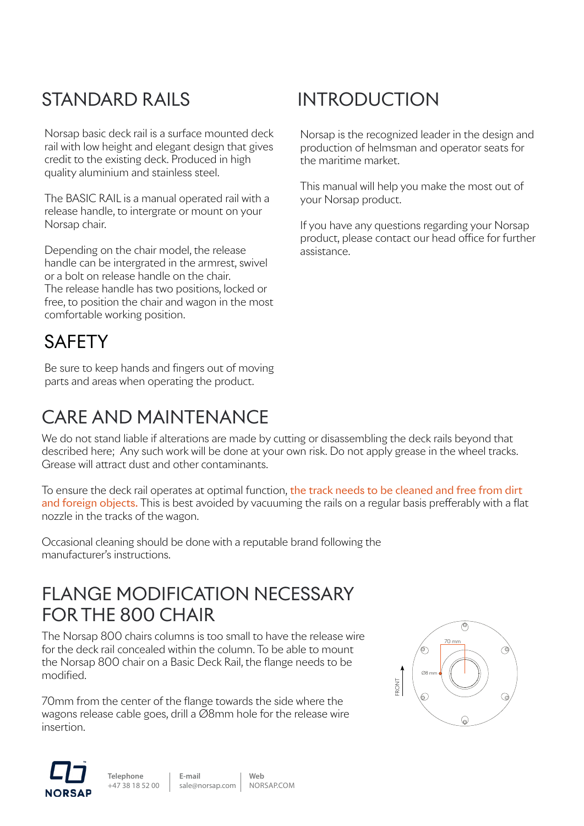# STANDARD RAILS

Norsap basic deck rail is a surface mounted deck rail with low height and elegant design that gives credit to the existing deck. Produced in high quality aluminium and stainless steel.

The BASIC RAIL is a manual operated rail with a release handle, to intergrate or mount on your Norsap chair.

Depending on the chair model, the release handle can be intergrated in the armrest, swivel or a bolt on release handle on the chair. The release handle has two positions, locked or free, to position the chair and wagon in the most comfortable working position.

### **SAFFTY**

Be sure to keep hands and fingers out of moving parts and areas when operating the product.

## CARE AND MAINTENANCE

We do not stand liable if alterations are made by cutting or disassembling the deck rails beyond that described here; Any such work will be done at your own risk. Do not apply grease in the wheel tracks. Grease will attract dust and other contaminants.

To ensure the deck rail operates at optimal function, the track needs to be cleaned and free from dirt and foreign objects. This is best avoided by vacuuming the rails on a regular basis prefferably with a flat nozzle in the tracks of the wagon.

Occasional cleaning should be done with a reputable brand following the manufacturer's instructions.

#### FLANGE MODIFICATION NECESSARY FOR THE 800 CHAIR

The Norsap 800 chairs columns is too small to have the release wire for the deck rail concealed within the column. To be able to mount the Norsap 800 chair on a Basic Deck Rail, the flange needs to be modified.

70mm from the center of the flange towards the side where the wagons release cable goes, drill a Ø8mm hole for the release wire insertion.

**E-mail**





**Telephone**  +47 38 18 52 00 **Web**

sale@norsap.com [NORSAP.COM](http://norsap.com)

# INTRODUCTION

Norsap is the recognized leader in the design and production of helmsman and operator seats for the maritime market.

This manual will help you make the most out of your Norsap product.

If you have any questions regarding your Norsap product, please contact our head office for further assistance.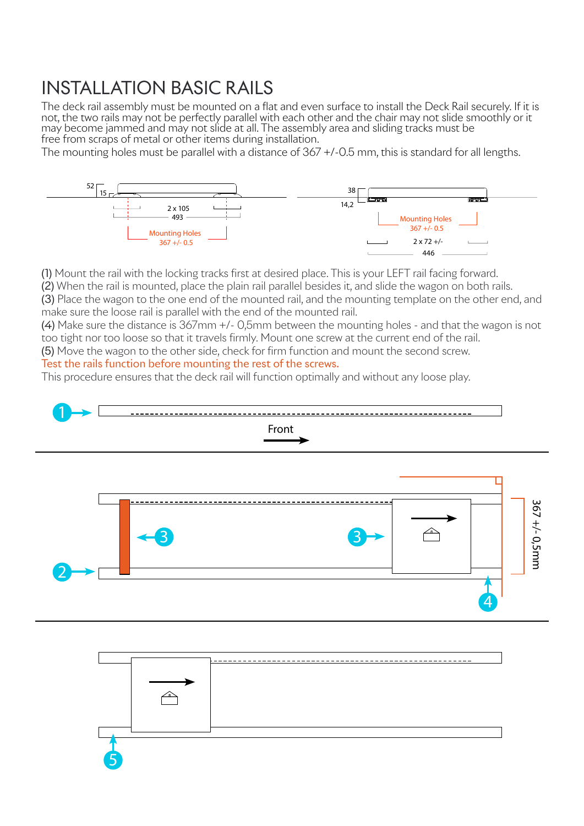#### INSTALLATION BASIC RAILS

The deck rail assembly must be mounted on a flat and even surface to install the Deck Rail securely. If it is not, the two rails may not be perfectly parallel with each other and the chair may not slide smoothly or it may become jammed and may not slide at all. The assembly area and sliding tracks must be free from scraps of metal or other items during installation.

The mounting holes must be parallel with a distance of 367 +/-0.5 mm, this is standard for all lengths.



(1) Mount the rail with the locking tracks first at desired place. This is your LEFT rail facing forward.

(2) When the rail is mounted, place the plain rail parallel besides it, and slide the wagon on both rails.

(3) Place the wagon to the one end of the mounted rail, and the mounting template on the other end, and make sure the loose rail is parallel with the end of the mounted rail.

(4) Make sure the distance is 367mm +/- 0,5mm between the mounting holes - and that the wagon is not too tight nor too loose so that it travels firmly. Mount one screw at the current end of the rail.

(5) Move the wagon to the other side, check for firm function and mount the second screw.

#### Test the rails function before mounting the rest of the screws.

This procedure ensures that the deck rail will function optimally and without any loose play.



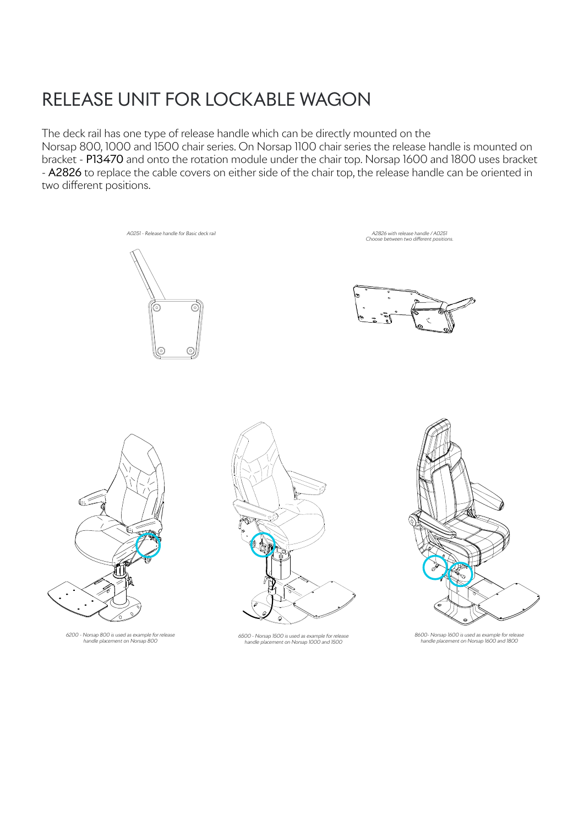### RELEASE UNIT FOR LOCKABLE WAGON

The deck rail has one type of release handle which can be directly mounted on the

Norsap 800, 1000 and 1500 chair series. On Norsap 1100 chair series the release handle is mounted on bracket - P13470 and onto the rotation module under the chair top. Norsap 1600 and 1800 uses bracket - A2826 to replace the cable covers on either side of the chair top, the release handle can be oriented in two different positions.